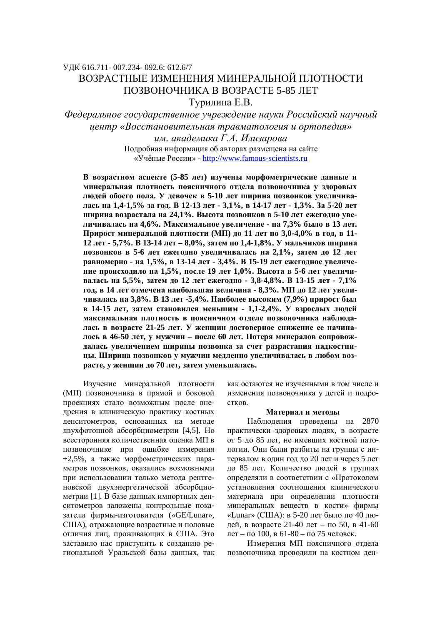# ɍȾɄ 616.711- 007.234- 092.6: 612.6/7 ВОЗРАСТНЫЕ ИЗМЕНЕНИЯ МИНЕРАЛЬНОЙ ПЛОТНОСТИ ПОЗВОНОЧНИКА В ВОЗРАСТЕ 5-85 ЛЕТ Турилина Е.В.

*ɎɟɞɟɪɚɥɶɧɨɟɝɨɫɭɞɚɪɫɬɜɟɧɧɨɟɭɱɪɟɠɞɟɧɢɟɧɚɭɤɢɊɨɫɫɢɣɫɤɢɣɧɚɭɱɧɵɣ*  $u$ ентр «Восстановительная травматология и ортопедия» **им.** академика Г.А. Илизарова Подробная информация об авторах размещена на сайте

«Учёные России» - http://www.famous-scientists.ru

В возрастном аспекте (5-85 лет) изучены морфометрические данные и минеральная плотность поясничного отдела позвоночника у здоровых людей обоего пола. У девочек в 5-10 лет ширина позвонков увеличива лась на 1,4-1,5% за год. В 12-13 лет - 3,1%, в 14-17 лет - 1,3%. За 5-20 лет ширина возрастала на 24,1%. Высота позвонков в 5-10 лет ежегодно увеличивалась на 4,6%. Максимальное увеличение - на 7,3% было в 13 лет. Прирост минеральной плотности (МП) до 11 лет по 3,0-4,0% в год, в 11-12 лет - 5,7%. В 13-14 лет – 8,0%, затем по 1,4-1,8%. У мальчиков ширина позвонков в 5-6 лет ежегодно увеличивалась на 2,1%, затем до 12 лет равномерно - на 1,5%, в 13-14 лет - 3,4%. В 15-19 лет ежегодное увеличе-**НИЕ ПРОИСХОДИЛО НА 1,5%, ПОСЛЕ 19 ЛЕТ 1,0%. Высота в 5-6 лет увеличивалась на 5,5%, затем до 12 лет ежегодно - 3,8-4,8%. В 13-15 лет - 7,1%** год, в 14 лет отмечена наибольшая величина - 8,3%. МП до 12 лет увели-**ЧИВАЛАСЬ НА 3,8%. В 13 Лет -5,4%. Наиболее высоким (7,9%) прирост был в** 14-15 лет, затем становился меньшим - 1,1-2,4%. У взрослых людей максимальная плотность в поясничном отделе позвоночника наблюдалась в возрасте 21-25 лет. У женщин достоверное снижение ее начина-**ИОСЬ В 46-50 ЛЕТ, У МУЖЧИН – ПОСЛЕ 60 ЛЕТ. ПОТЕРЯ МИНЕРАЛОВ СОПРОВОЖ**далась увеличением ширины позвонка за счет разрастания надкостни**ɰɵ. ɒɢɪɢɧɚɩɨɡɜɨɧɤɨɜɭɦɭɠɱɢɧɦɟɞɥɟɧɧɨɭɜɟɥɢɱɢɜɚɥɚɫɶɜɥɸɛɨɦɜɨɡрасте, у женщин до 70 лет, затем уменьшалась.** 

Изучение минеральной плотности (МП) позвоночника в прямой и боковой проекциях стало возможным после внедрения в клиническую практику костных денситометров, основанных на методе двухфотонной абсорбциометрии [4,5]. Но всесторонняя количественная оценка МП в позвоночнике при ошибке измерения  $\pm 2,5\%$ , а также морфометрических параметров позвонков, оказались возможными при использовании только метода рентгеновской двухэнергетической абсорбциометрии [1]. В базе данных импортных денситометров заложены контрольные показатели фирмы-изготовителя («GE/Lunar», США), отражающие возрастные и половые отличия лиц, проживающих в США. Это заставило нас приступить к созданию региональной Уральской базы данных, так как остаются не изученными в том числе и изменения позвоночника у детей и подро-CTKOB.

#### Материал и методы

Наблюдения проведены на 2870 практически здоровых людях, в возрасте от 5 до 85 лет, не имевших костной патологии. Они были разбиты на группы с интервалом в один год до 20 лет и через 5 лет до 85 лет. Количество людей в группах определяли в соответствии с «Протоколом установления соотношения клинического материала при определении плотности минеральных веществ в кости» фирмы «Lunar» (США): в 5-20 лет было по 40 людей, в возрасте 21-40 лет – по 50, в 41-60 лет – по 100, в 61-80 – по 75 человек.

Измерения МП поясничного отдела позвоночника проводили на костном ден-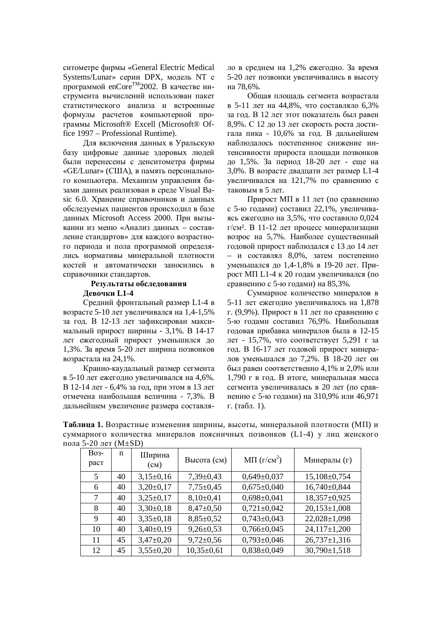ситометре фирмы «General Electric Medical Systems/Lunar» серии DPX, модель NT с программой enCore<sup>TM</sup>2002. В качестве инструмента вычислений использован пакет статистического анализа и встроенные формулы расчетов компьютерной программы Microsoft® Excell (Microsoft® Office 1997 – Professional Runtime).

Для включения данных в Уральскую базу цифровые данные здоровых людей были перенесены с денситометра фирмы «GE/Lunar» (США), в память персонального компьютера. Механизм управления базами данных реализован в среде Visual Basic 6.0. Хранение справочников и данных обследуемых пациентов происходил в базе данных Microsoft Access 2000. При вызывании из меню «Анализ данных - составление стандартов» для каждого возрастного периода и пола программой определялись нормативы минеральной плотности костей и автоматически заносились в справочники стандартов.

# Результаты обследования Девочки L1-4

Средний фронтальный размер L1-4 в возрасте 5-10 лет увеличивался на 1,4-1.5% за год. В 12-13 лет зафиксирован максимальный прирост ширины - 3,1%. В 14-17 лет ежегодный прирост уменьшился до 1,3%. За время 5-20 лет ширина позвонков возрастала на 24,1%.

Кранио-каудальный размер сегмента в 5-10 лет ежегодно увеличивался на 4,6%. В 12-14 лет - 6,4% за год, при этом в 13 лет отмечена наибольшая величина - 7,3%. В дальнейшем увеличение размера составляло в среднем на 1,2% ежегодно. За время 5-20 лет позвонки увеличивались в высоту ɧɚ 78,6%.

Общая площадь сегмента возрастала в 5-11 лет на 44,8%, что составляло 6,3% за год. В 12 лет этот показатель был равен 8,9%. С 12 до 13 лет скорость роста достигала пика - 10,6% за год. В дальнейшем наблюдалось постепенное снижение интенсивности прироста плошали позвонков до 1,5%. За период 18-20 лет - еще на 3,0%. В возрасте двадцати лет размер L1-4 увеличивался на 121,7% по сравнению с таковым в 5 лет.

Прирост МП в 11 лет (по сравнению с 5-ю годами) составил 22,1%, увеличиваясь ежегодно на 3,5%, что составило 0,024 г/см<sup>2</sup>. В 11-12 лет процесс минерализации возрос на 5,7%. Наиболее существенный годовой прирост наблюдался с 13 до 14 лет – и составлял 8,0%, затем постепенно уменьшался до 1,4-1,8% в 19-20 лет. Прирост МП L1-4 к 20 годам увеличивался (по сравнению с 5-ю годами) на 85,3%.

Суммарное количество минералов в 5-11 лет ежегодно увеличивалось на 1,878 г. (9,9%). Прирост в 11 лет по сравнению с 5-ю годами составил 76,9%. Наибольшая годовая прибавка минералов была в 12-15 лет - 15,7%, что соответствует 5,291 г за год. В 16-17 лет годовой прирост минералов уменьшался до 7,2%. В 18-20 лет он был равен соответственно 4,1% и 2,0% или 1,790 г в год. В итоге, минеральная масса сегмента увеличивалась в 20 лет (по сравнению с 5-ю годами) на 310,9% или 46,971 г. (табл. 1).

Таблица 1. Возрастные изменения ширины, высоты, минеральной плотности (МП) и суммарного количества минералов поясничных позвонков (L1-4) у лиц женского пола 5-20 лет (M $\pm$ SD)

| <b>Bo<sub>3</sub></b> -<br>раст | n  | Ширина<br>$\text{(cm)}$ | Высота (см)     | M $\Pi$ ( $\Gamma$ / $\text{cm}^2$ ) | Минералы (г)       |
|---------------------------------|----|-------------------------|-----------------|--------------------------------------|--------------------|
| 5                               | 40 | $3,15\pm0,16$           | $7,39\pm0,43$   | $0,649 \pm 0,037$                    | 15,108±0,754       |
| 6                               | 40 | $3,20\pm0,17$           | $7,75 \pm 0.45$ | $0,675 \pm 0,040$                    | 16,740±0,844       |
| 7                               | 40 | $3,25\pm0,17$           | $8,10\pm0,41$   | $0,698 \pm 0,041$                    | 18,357±0,925       |
| 8                               | 40 | $3,30\pm0,18$           | $8,47 \pm 0,50$ | $0,721 \pm 0,042$                    | $20,153 \pm 1,008$ |
| 9                               | 40 | $3,35\pm0,18$           | $8,85 \pm 0,52$ | $0,743\pm0,043$                      | $22,028 \pm 1,098$ |
| 10                              | 40 | $3,40\pm0,19$           | $9,26\pm0.53$   | $0,766 \pm 0,045$                    | $24,117\pm1,200$   |
| 11                              | 45 | $3,47\pm0,20$           | $9,72 \pm 0.56$ | $0,793 \pm 0,046$                    | $26,737 \pm 1,316$ |
| 12                              | 45 | $3,55\pm0,20$           | $10,35\pm0,61$  | $0,838\pm0,049$                      | $30,790 \pm 1,518$ |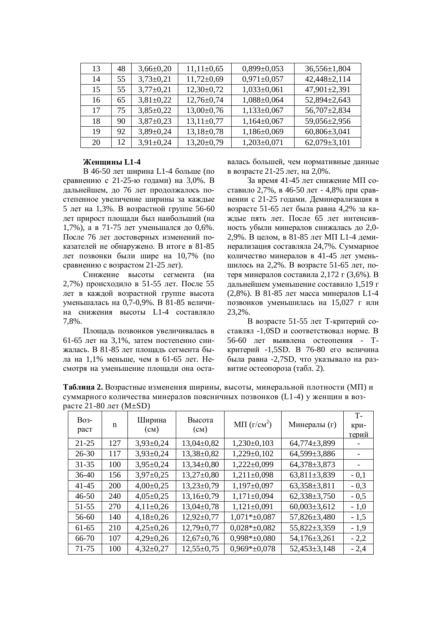| 13 | 48 | $3,66 \pm 0,20$ | $11,11\pm0,65$   | $0,899\pm0,053$   | $36,556 \pm 1,804$ |
|----|----|-----------------|------------------|-------------------|--------------------|
| 14 | 55 | $3,73\pm0,21$   | $11,72 \pm 0.69$ | $0,971 \pm 0,057$ | $42,448 \pm 2,114$ |
| 15 | 55 | $3,77\pm0,21$   | $12,30\pm0,72$   | $1,033\pm0,061$   | $47,901 \pm 2,391$ |
| 16 | 65 | $3,81\pm0,22$   | $12,76 \pm 0,74$ | $1,088 \pm 0,064$ | 52,894±2,643       |
| 17 | 75 | $3,85\pm0,22$   | $13,00\pm0,76$   | $1,133\pm0,067$   | 56,707±2,834       |
| 18 | 90 | $3,87 \pm 0,23$ | $13,11\pm0,77$   | $1,164\pm0,067$   | 59,056±2,956       |
| 19 | 92 | $3,89\pm0,24$   | $13,18\pm0,78$   | $1,186 \pm 0,069$ | $60,806 \pm 3,041$ |
| 20 | 12 | $3,91\pm0,24$   | $13,20\pm0,79$   | $1,203\pm0,071$   | $62,079 \pm 3,101$ |
|    |    |                 |                  |                   |                    |

## Женшины L1-4

В 46-50 лет ширина L1-4 больше (по сравнению с 21-25-ю годами) на 3,0%. В дальнейшем, до 76 лет продолжалось постепенное увеличение ширины за каждые 5 лет на 1,3%. В возрастной группе 56-60 лет прирост площади был наибольший (на 1,7%), а в 71-75 лет уменьшался до 0,6%. После 76 лет достоверных изменений показателей не обнаружено. В итоге в 81-85 лет позвонки были шире на 10,7% (по сравнению с возрастом 21-25 лет).

Снижение высоты сегмента (на 2,7%) происходило в 51-55 лет. После 55 лет в каждой возрастной группе высота уменьшалась на 0,7-0,9%. В 81-85 величина снижения высоты L1-4 составляло 7,8%.

Плошаль позвонков увеличивалась в 61-65 лет на 3,1%, затем постепенно снижалась. В 81-85 лет площадь сегмента была на 1,1% меньше, чем в 61-65 лет. Несмотря на уменьшение площади она оставалась большей, чем нормативные данные в возрасте 21-25 лет, на 2,0%.

За время 41-45 лет снижение МП составило 2,7%, в 46-50 лет - 4,8% при сравнении с 21-25 годами. Деминерализация в возрасте 51-65 лет была равна 4,2% за каждые пять лет. После 65 лет интенсивность убыли минералов снижалась до 2,0-2,9%. В целом, в 81-85 лет МП L1-4 деминерализация составляла 24,7%. Суммарное количество минералов в 41-45 лет уменьшилось на 2,2%. В возрасте 51-65 лет, потеря минералов составила 2,172 г (3,6%). В дальнейшем уменьшение составило 1,519 г (2,8%). В 81-85 лет масса минералов L1-4 позвонков уменьшилась на 15,027 г или 23,2%.

В возрасте 51-55 лет Т-критерий составлял -1,0SD и соответствовал норме. В 56-60 лет выявлена остеопения - Ткритерий -1,5SD. В 76-80 его величина была равна -2,7SD, что указывало на развитие остеопороза (табл. 2).

**Таблица 2. Возрастные изменения ширины, высоты, минеральной плотности (МП) и** суммарного количества минералов поясничных позвонков (L1-4) у женщин в возрасте 21-80 лет (M $\pm$ SD)

| <b>Bo<sub>3</sub></b> -<br>раст | n   | Ширина<br>$\rm (CM)$ | Высота<br>$\rm (CM)$ | MII $(\Gamma/cm^2)$ | Минералы (г)       | $T -$<br>кри-<br>терий |
|---------------------------------|-----|----------------------|----------------------|---------------------|--------------------|------------------------|
| $21 - 25$                       | 127 | $3,93\pm0,24$        | $13,04\pm0.82$       | $1,230\pm0,103$     | 64,774±3,899       |                        |
| $26 - 30$                       | 117 | $3,93\pm0,24$        | 13,38±0,82           | $1,229\pm0,102$     | 64,599±3,886       |                        |
| $31 - 35$                       | 100 | $3,95 \pm 0,24$      | $13,34\pm0,80$       | $1,222\pm0,099$     | 64,378±3,873       |                        |
| $36-40$                         | 156 | $3,97 \pm 0,25$      | $13,27 \pm 0,80$     | $1,211\pm0,098$     | 63,811 $\pm$ 3,839 | $-0,1$                 |
| $41 - 45$                       | 200 | $4,00\pm0,25$        | $13,23\pm0.79$       | $1,197\pm0,097$     | $63,358 \pm 3,811$ | $-0,3$                 |
| $46 - 50$                       | 240 | $4,05\pm0,25$        | $13,16\pm0.79$       | $1,171\pm0,094$     | $62,338\pm3,750$   | $-0,5$                 |
| $51 - 55$                       | 270 | $4,11\pm0,26$        | $13,04\pm0,78$       | $1,121\pm0,091$     | $60,003\pm3,612$   | $-1,0$                 |
| 56-60                           | 140 | $4,18\pm0,26$        | $12,92 \pm 0,77$     | $1,071*_{\pm}0,087$ | 57,826±3,480       | $-1,5$                 |
| $61-65$                         | 210 | $4,25\pm0,26$        | $12,79 \pm 0.77$     | $0.028* \pm 0.082$  | 55,822±3,359       | $-1,9$                 |
| 66-70                           | 107 | $4,29\pm0,26$        | $12,67+0,76$         | $0,998*+0,080$      | 54,176±3,261       | $-2,2$                 |
| 71-75                           | 100 | $4,32\pm0,27$        | $12,55+0,75$         | $0,969*+0,078$      | $52,453\pm3,148$   | $-2,4$                 |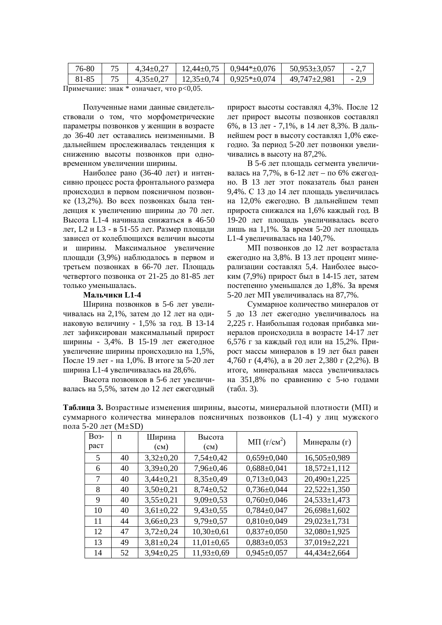| $4,35\pm0.27$   $12,35\pm0.74$   $0.925*\pm0.074$<br>81-85<br>49,747±2,981 | 76-80 | $4,34\pm0,27$ | $12.44 \pm 0.75$   $0.944 \pm 0.076$ | 50,953±3,057 |  |
|----------------------------------------------------------------------------|-------|---------------|--------------------------------------|--------------|--|
|                                                                            |       |               |                                      |              |  |

Примечание: знак \* означает, что р<0,05.

Полученные нами данные свидетельствовали о том, что морфометрические параметры позвонков у женщин в возрасте ло 36-40 лет оставались неизменными. В дальнейшем прослеживалась тенденция к снижению высоты позвонков при одновременном увеличении ширины.

Наиболее рано (36-40 лет) и интенсивно процесс роста фронтального размера происходил в первом поясничном позвонке (13,2%). Во всех позвонках была тенленния к увеличению ширины ло 70 лет. Высота L1-4 начинала снижаться в 46-50 дет, L2 и L3 - в 51-55 лет. Размер плошали зависел от колеблющихся величин высоты и ширины. Максимальное увеличение плошали (3,9%) наблюдалось в первом и третьем позвонках в 66-70 лет. Площадь четвертого позвонка от 21-25 до 81-85 лет только уменьшалась.

# Мальчики L1-4

Ширина позвонков в 5-6 лет увеличивалась на 2,1%, затем до 12 лет на одинаковую величину - 1,5% за год. В 13-14 лет зафиксирован максимальный прирост ширины - 3,4%. В 15-19 лет ежегодное увеличение ширины происходило на 1,5%, После 19 лет - на 1,0%. В итоге за 5-20 лет ширина L1-4 увеличивалась на 28,6%.

Высота позвонков в 5-6 лет увеличивалась на 5,5%, затем до 12 лет ежегодный прирост высоты составлял 4,3%. После 12 лет прирост высоты позвонков составлял 6%, в 13 лет - 7,1%, в 14 лет 8,3%. В дальнейшем рост в высоту составлял  $1.0\%$  ежегодно. За период 5-20 лет позвонки увеличивались в высоту на 87.2%.

В 5-6 лет площадь сегмента увеличивалась на 7,7%, в 6-12 лет – по 6% ежегодно. В 13 лет этот показатель был ранен 9,4%. С 13 ло 14 лет плошаль увеличилась на 12,0% ежегодно. В дальнейшем темп прироста снижался на 1.6% кажлый гол. В 19-20 лет площадь увеличивалась всего лишь на 1,1%. За время 5-20 лет площадь L1-4 увеличивалась на 140,7%.

МП позвонков до 12 лет возрастала ежеголно на 3,8%. В 13 лет процент минерализации составлял 5,4. Наиболее высоким (7,9%) прирост был в 14-15 лет, затем постепенно уменьшался до 1,8%. За время 5-20 лет МП увеличивалась на 87,7%.

Суммарное количество минералов от 5 до 13 лет ежегодно увеличивалось на 2,225 г. Наибольшая годовая прибавка минералов происходила в возрасте 14-17 лет 6,576 г за каждый год или на 15,2%. Прирост массы минералов в 19 лет был равен 4,760 г (4,4%), а в 20 лет 2,380 г (2,2%). В итоге, минеральная масса увеличивалась на 351,8% по сравнению с 5-ю годами  $(TA6J, 3).$ 

**Таблица 3.** Возрастные изменения ширины, высоты, минеральной плотности (МП) и суммарного количества минералов поясничных позвонков (L1-4) у лиц мужского пола 5-20 лет (M $\pm$ SD)

| <b>Bo<sub>3</sub></b> -<br>раст | n  | Ширина<br>$\text{(cm)}$ | Высота<br>$\rm (cm)$ | MII $(\Gamma/cm^2)$ | Минералы (г)       |
|---------------------------------|----|-------------------------|----------------------|---------------------|--------------------|
| 5                               | 40 | $3,32\pm0,20$           | $7,54\pm0.42$        | $0,659 \pm 0,040$   | 16,505±0,989       |
| 6                               | 40 | $3,39\pm0,20$           | $7,96 \pm 0,46$      | $0,688 \pm 0,041$   | $18,572 \pm 1,112$ |
| 7                               | 40 | $3,44\pm0,21$           | $8,35\pm0,49$        | $0,713\pm0,043$     | 20,490±1,225       |
| 8                               | 40 | $3,50\pm0,21$           | $8,74\pm0,52$        | $0,736 \pm 0,044$   | $22,522 \pm 1,350$ |
| 9                               | 40 | $3,55\pm0,21$           | $9,09\pm0,53$        | $0,760\pm0,046$     | $24,533 \pm 1,473$ |
| 10                              | 40 | $3,61\pm0,22$           | $9,43\pm0,55$        | $0,784\pm0,047$     | $26,698 \pm 1,602$ |
| 11                              | 44 | $3,66 \pm 0,23$         | $9,79 \pm 0,57$      | $0,810\pm0,049$     | $29,023 \pm 1,731$ |
| 12                              | 47 | $3,72\pm0,24$           | $10,30\pm0,61$       | $0,837\pm0,050$     | 32,080±1,925       |
| 13                              | 49 | $3,81\pm0,24$           | $11,01\pm0.65$       | $0,883\pm0,053$     | 37,019±2,221       |
| 14                              | 52 | $3,94\pm0.25$           | $11,93 \pm 0,69$     | $0.945 \pm 0.057$   | 44,434±2,664       |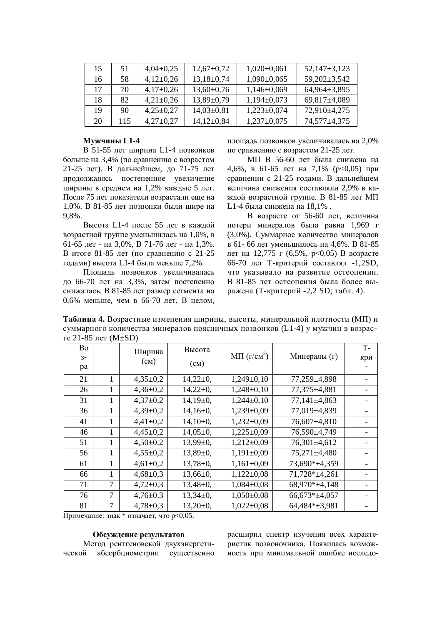| 15 | 51  | $4,04\pm0,25$ | $12,67+0,72$   | $1,020\pm0,061$   | $52,147\pm3,123$   |
|----|-----|---------------|----------------|-------------------|--------------------|
| 16 | 58  | $4,12\pm0,26$ | $13,18\pm0,74$ | $1,090\pm0,065$   | $59,202 \pm 3,542$ |
| 17 | 70  | $4,17\pm0,26$ | $13,60\pm0,76$ | $1,146 \pm 0,069$ | $64,964\pm3,895$   |
| 18 | 82  | $4,21\pm0,26$ | $13,89\pm0,79$ | $1,194\pm0,073$   | $69,817\pm4,089$   |
| 19 | 90  | $4,25\pm0,27$ | $14,03\pm0,81$ | $1,223\pm0,074$   | $72,910\pm4,275$   |
| 20 | 115 | $4,27\pm0,27$ | $14,12\pm0.84$ | $1,237\pm0,075$   | 74,577±4,375       |

## **Ɇɭɠɱɢɧɵ L1-4**

В 51-55 лет ширина L1-4 позвонков больше на 3,4% (по сравнению с возрастом 21-25 лет). В дальнейшем, до 71-75 лет продолжалось постепенное увеличение ширины в среднем на 1,2% каждые 5 лет. После 75 лет показатели возрастали еще на 1,0%. В 81-85 лет позвонки были шире на 9,8%.

Высота L1-4 после 55 лет в кажлой возрастной группе уменьшилась на 1,0%, в 61-65 лет - на 3.0%, В 71-76 лет - на 1.3%. В итоге 81-85 лет (по сравнению с 21-25 годами) высота L1-4 была меньше 7,2%.

Площадь позвонков увеличивалась до 66-70 лет на 3,3%, затем постепенно снижалась. В 81-85 лет размер сегмента на  $0.6\%$  меньше, чем в 66-70 лет. В целом,

площадь позвонков увеличивалась на 2,0% по сравнению с возрастом 21-25 лет.

МП В 56-60 лет была снижена на 4,6%, в 61-65 лет на 7,1% ( $p<0.05$ ) при сравнении с 21-25 годами. В дальнейшем величина снижения составляли 2,9% в каждой возрастной группе. В 81-85 лет МП L1-4 была снижена на 18,1%.

 $\overline{B}$  возрасте от 56-60 лет, величина потери минералов была равна 1,969 г (3,0%). Суммарное количество минералов в 61- 66 лет уменьшилось на 4,6%. В 81-85 лет на 12,775 г (6,5%,  $p<0.05$ ) В возрасте 66-70 лет Т-критерий составлял -1,2SD, что указывало на развитие остеопении. В 81-85 лет остеопения была более выражена (Т-критерий -2,2 SD; табл. 4).

Таблица 4. Возрастные изменения ширины, высоты, минеральной плотности (МП) и суммарного количества минералов поясничных позвонков (L1-4) у мужчин в возрас-Te  $21 - 85$  Tet  $(M+SD)$ 

| $10.21$ $0.00$ $0.001$ $(0.000)$<br><b>Bo</b> |                                          |                |                 |                                     |               | $T -$ |  |  |
|-----------------------------------------------|------------------------------------------|----------------|-----------------|-------------------------------------|---------------|-------|--|--|
|                                               |                                          | Ширина         | Высота          | $M\Pi$ ( $\Gamma$ / $\text{cm}^2$ ) | Минералы (г)  |       |  |  |
| $3-$                                          |                                          | $(c_{M})$      | $\text{(cm)}$   |                                     |               | кри   |  |  |
| pa                                            |                                          |                |                 |                                     |               |       |  |  |
| 21                                            | 1                                        | $4,35\pm0.2$   | $14,22\pm0,$    | $1,249\pm0,10$                      | 77,259±4,898  |       |  |  |
| 26                                            | 1                                        | $4,36\pm0,2$   | $14,22\pm0,$    | $1,248\pm0,10$                      | 77,375±4,881  |       |  |  |
| 31                                            |                                          | $4,37\pm0,2$   | $14,19\pm0,$    | $1,244\pm0,10$                      | 77,141±4,863  |       |  |  |
| 36                                            | 1                                        | $4,39\pm0,2$   | $14,16\pm0,$    | $1,239\pm0.09$                      | 77,019±4,839  |       |  |  |
| 41                                            | 1                                        | $4,41\pm0,2$   | $14,10\pm0,$    | $1,232\pm0.09$                      | 76,607±4,810  |       |  |  |
| 46                                            | 1                                        | $4,45\pm0,2$   | $14,05\pm0,$    | $1,225\pm0.09$                      | 76,590±4,749  |       |  |  |
| 51                                            | 1                                        | $4,50\pm0.2$   | $13,99 \pm 0$ , | $1,212\pm0,09$                      | 76,301±4,612  |       |  |  |
| 56                                            | 1                                        | $4,55\pm0.2$   | $13,89\pm0,$    | $1,191\pm0.09$                      | 75,271±4,480  |       |  |  |
| 61                                            | 1                                        | $4,61\pm0,2$   | $13,78 \pm 0,$  | $1,161\pm0.09$                      | 73,690*±4,359 |       |  |  |
| 66                                            | 1                                        | $4,68 \pm 0.3$ | $13,66 \pm 0,$  | $1,122\pm0,08$                      | 71,728*±4,261 |       |  |  |
| 71                                            | 7                                        | $4,72\pm0.3$   | $13,48\pm0,$    | $1,084\pm0,08$                      | 68,970*±4,148 |       |  |  |
| 76                                            | 7                                        | $4,76 \pm 0.3$ | $13,34\pm0,$    | $1,050\pm0,08$                      | 66,673*±4,057 |       |  |  |
| 81                                            | 7                                        | $4,78 \pm 0.3$ | $13,20\pm0,$    | $1,022\pm0,08$                      | 64,484*±3,981 |       |  |  |
|                                               | Примечание: знак * означает, что р<0,05. |                |                 |                                     |               |       |  |  |

### Обсуждение результатов

Метод рентгеновской двухэнергетической абсорбциометрии существенно расширил спектр изучения всех характеристик позвоночника. Появилась возможность при минимальной ошибке исследо-